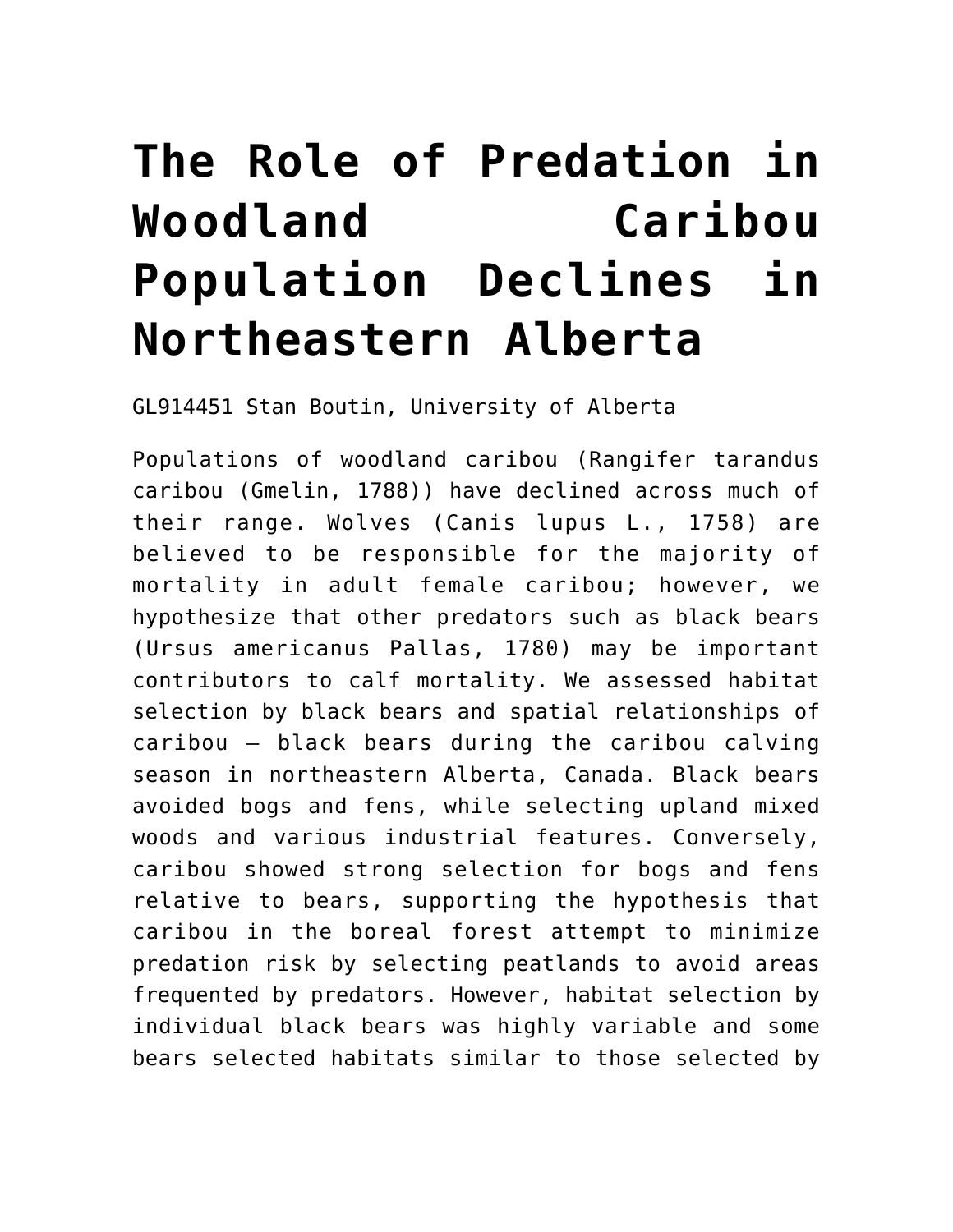## **[The Role of Predation in](https://auprf.ptac.org/ecological-2/the-role-of-predation-in-woodland-caribou-population-declines-in-northeastern-alberta/) [Woodland Caribou](https://auprf.ptac.org/ecological-2/the-role-of-predation-in-woodland-caribou-population-declines-in-northeastern-alberta/) [Population Declines in](https://auprf.ptac.org/ecological-2/the-role-of-predation-in-woodland-caribou-population-declines-in-northeastern-alberta/) [Northeastern Alberta](https://auprf.ptac.org/ecological-2/the-role-of-predation-in-woodland-caribou-population-declines-in-northeastern-alberta/)**

GL914451 Stan Boutin, University of Alberta

Populations of woodland caribou (Rangifer tarandus caribou (Gmelin, 1788)) have declined across much of their range. Wolves (Canis lupus L., 1758) are believed to be responsible for the majority of mortality in adult female caribou; however, we hypothesize that other predators such as black bears (Ursus americanus Pallas, 1780) may be important contributors to calf mortality. We assessed habitat selection by black bears and spatial relationships of caribou – black bears during the caribou calving season in northeastern Alberta, Canada. Black bears avoided bogs and fens, while selecting upland mixed woods and various industrial features. Conversely, caribou showed strong selection for bogs and fens relative to bears, supporting the hypothesis that caribou in the boreal forest attempt to minimize predation risk by selecting peatlands to avoid areas frequented by predators. However, habitat selection by individual black bears was highly variable and some bears selected habitats similar to those selected by